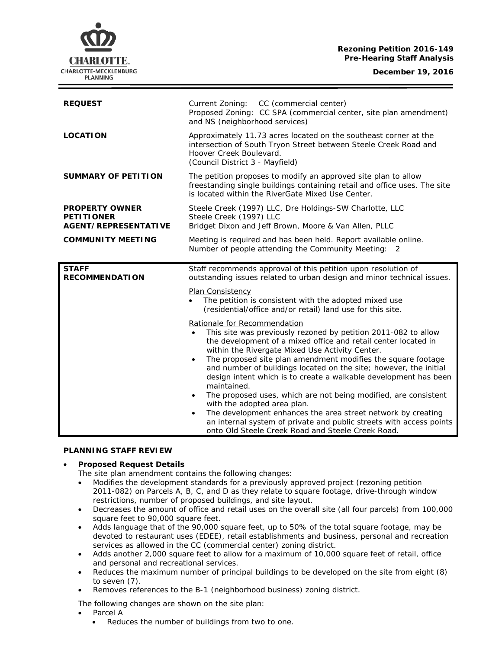## **Rezoning Petition 2016-149 Pre-Hearing Staff Analysis**

**December 19, 2016**



| <b>REQUEST</b>                                                            | Current Zoning:<br>CC (commercial center)<br>Proposed Zoning: CC SPA (commercial center, site plan amendment)<br>and NS (neighborhood services)                                                    |
|---------------------------------------------------------------------------|----------------------------------------------------------------------------------------------------------------------------------------------------------------------------------------------------|
| <b>LOCATION</b>                                                           | Approximately 11.73 acres located on the southeast corner at the<br>intersection of South Tryon Street between Steele Creek Road and<br>Hoover Creek Boulevard.<br>(Council District 3 - Mayfield) |
| <b>SUMMARY OF PETITION</b>                                                | The petition proposes to modify an approved site plan to allow<br>freestanding single buildings containing retail and office uses. The site<br>is located within the RiverGate Mixed Use Center.   |
| <b>PROPERTY OWNER</b><br><b>PETITIONER</b><br><b>AGENT/REPRESENTATIVE</b> | Steele Creek (1997) LLC, Dre Holdings-SW Charlotte, LLC<br>Steele Creek (1997) LLC<br>Bridget Dixon and Jeff Brown, Moore & Van Allen, PLLC                                                        |
| <b>COMMUNITY MEETING</b>                                                  | Meeting is required and has been held. Report available online.<br>Number of people attending the Community Meeting: 2                                                                             |
|                                                                           |                                                                                                                                                                                                    |
| <b>STAFF</b><br><b>RECOMMENDATION</b>                                     | Staff recommends approval of this petition upon resolution of<br>outstanding issues related to urban design and minor technical issues.                                                            |
|                                                                           | Plan Consistency<br>The petition is consistent with the adopted mixed use<br>(residential/office and/or retail) land use for this site.                                                            |

# **PLANNING STAFF REVIEW**

# • **Proposed Request Details**

The site plan amendment contains the following changes:

- Modifies the development standards for a previously approved project (rezoning petition 2011-082) on Parcels A, B, C, and D as they relate to square footage, drive-through window restrictions, number of proposed buildings, and site layout.
- Decreases the amount of office and retail uses on the overall site (all four parcels) from 100,000 square feet to 90,000 square feet.

onto Old Steele Creek Road and Steele Creek Road.

- Adds language that of the 90,000 square feet, up to 50% of the total square footage, may be devoted to restaurant uses (EDEE), retail establishments and business, personal and recreation services as allowed in the CC (commercial center) zoning district.
- Adds another 2,000 square feet to allow for a maximum of 10,000 square feet of retail, office and personal and recreational services.
- Reduces the maximum number of principal buildings to be developed on the site from eight (8) to seven (7).
- Removes references to the B-1 (neighborhood business) zoning district.

The following changes are shown on the site plan:

- Parcel A
	- Reduces the number of buildings from two to one.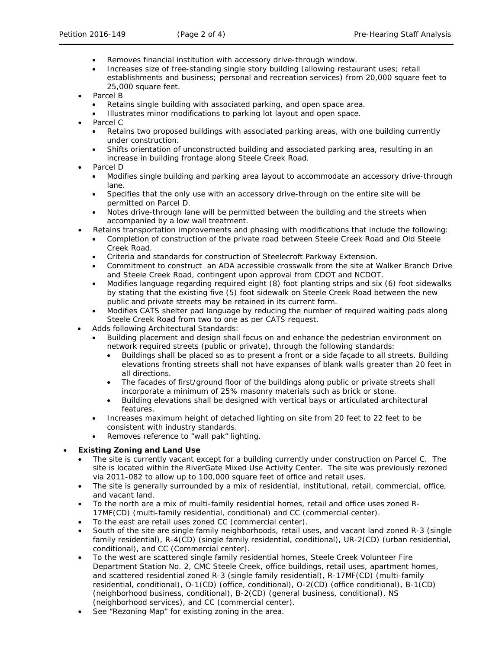- Removes financial institution with accessory drive-through window.
- Increases size of free-standing single story building (allowing restaurant uses; retail establishments and business; personal and recreation services) from 20,000 square feet to 25,000 square feet.
- Parcel B
	- Retains single building with associated parking, and open space area.
	- Illustrates minor modifications to parking lot layout and open space.
- Parcel C
	- Retains two proposed buildings with associated parking areas, with one building currently under construction.
	- Shifts orientation of unconstructed building and associated parking area, resulting in an increase in building frontage along Steele Creek Road.
- Parcel D
	- Modifies single building and parking area layout to accommodate an accessory drive-through lane.
	- Specifies that the only use with an accessory drive-through on the entire site will be permitted on Parcel D.
	- Notes drive-through lane will be permitted between the building and the streets when accompanied by a low wall treatment.
- Retains transportation improvements and phasing with modifications that include the following:
	- Completion of construction of the private road between Steele Creek Road and Old Steele Creek Road.
	- Criteria and standards for construction of Steelecroft Parkway Extension.
	- Commitment to construct an ADA accessible crosswalk from the site at Walker Branch Drive and Steele Creek Road, contingent upon approval from CDOT and NCDOT.
	- Modifies language regarding required eight (8) foot planting strips and six (6) foot sidewalks by stating that the existing five (5) foot sidewalk on Steele Creek Road between the new public and private streets may be retained in its current form.
	- Modifies CATS shelter pad language by reducing the number of required waiting pads along Steele Creek Road from two to one as per CATS request.
- Adds following Architectural Standards:
	- Building placement and design shall focus on and enhance the pedestrian environment on network required streets (public or private), through the following standards:
		- Buildings shall be placed so as to present a front or a side façade to all streets. Building elevations fronting streets shall not have expanses of blank walls greater than 20 feet in all directions.
		- The facades of first/ground floor of the buildings along public or private streets shall incorporate a minimum of 25% masonry materials such as brick or stone.
		- Building elevations shall be designed with vertical bays or articulated architectural features.
	- Increases maximum height of detached lighting on site from 20 feet to 22 feet to be consistent with industry standards.
	- Removes reference to "wall pak" lighting.

# • **Existing Zoning and Land Use**

- The site is currently vacant except for a building currently under construction on Parcel C. The site is located within the RiverGate Mixed Use Activity Center. The site was previously rezoned via 2011-082 to allow up to 100,000 square feet of office and retail uses.
- The site is generally surrounded by a mix of residential, institutional, retail, commercial, office, and vacant land.
- To the north are a mix of multi-family residential homes, retail and office uses zoned R-17MF(CD) (multi-family residential, conditional) and CC (commercial center).
- To the east are retail uses zoned CC (commercial center).
- South of the site are single family neighborhoods, retail uses, and vacant land zoned R-3 (single family residential), R-4(CD) (single family residential, conditional), UR-2(CD) (urban residential, conditional), and CC (Commercial center).
- To the west are scattered single family residential homes, Steele Creek Volunteer Fire Department Station No. 2, CMC Steele Creek, office buildings, retail uses, apartment homes, and scattered residential zoned R-3 (single family residential), R-17MF(CD) (multi-family residential, conditional), O-1(CD) (office, conditional), O-2(CD) (office conditional), B-1(CD) (neighborhood business, conditional), B-2(CD) (general business, conditional), NS (neighborhood services), and CC (commercial center).
- See "Rezoning Map" for existing zoning in the area.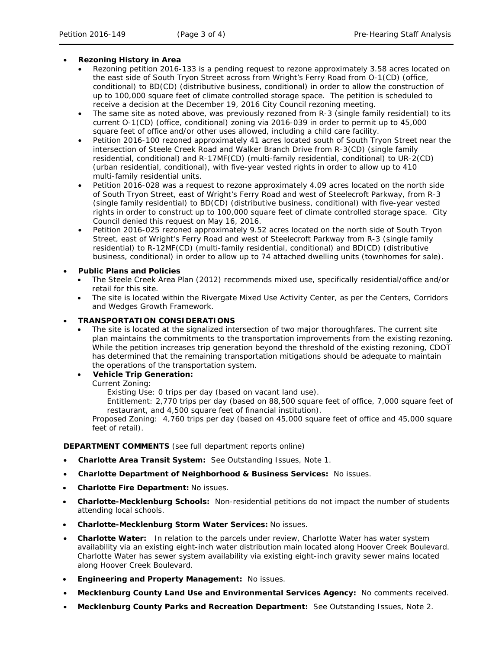## • **Rezoning History in Area**

- Rezoning petition 2016-133 is a pending request to rezone approximately 3.58 acres located on the east side of South Tryon Street across from Wright's Ferry Road from O-1(CD) (office, conditional) to BD(CD) (distributive business, conditional) in order to allow the construction of up to 100,000 square feet of climate controlled storage space. The petition is scheduled to receive a decision at the December 19, 2016 City Council rezoning meeting.
- The same site as noted above, was previously rezoned from R-3 (single family residential) to its current O-1(CD) (office, conditional) zoning via 2016-039 in order to permit up to 45,000 square feet of office and/or other uses allowed, including a child care facility.
- Petition 2016-100 rezoned approximately 41 acres located south of South Tryon Street near the intersection of Steele Creek Road and Walker Branch Drive from R-3(CD) (single family residential, conditional) and R-17MF(CD) (multi-family residential, conditional) to UR-2(CD) (urban residential, conditional), with five-year vested rights in order to allow up to 410 multi-family residential units.
- Petition 2016-028 was a request to rezone approximately 4.09 acres located on the north side of South Tryon Street, east of Wright's Ferry Road and west of Steelecroft Parkway, from R-3 (single family residential) to BD(CD) (distributive business, conditional) with five-year vested rights in order to construct up to 100,000 square feet of climate controlled storage space. City Council denied this request on May 16, 2016.
- Petition 2016-025 rezoned approximately 9.52 acres located on the north side of South Tryon Street, east of Wright's Ferry Road and west of Steelecroft Parkway from R-3 (single family residential) to R-12MF(CD) (multi-family residential, conditional) and BD(CD) (distributive business, conditional) in order to allow up to 74 attached dwelling units (townhomes for sale).

### • **Public Plans and Policies**

- The *Steele Creek Area Plan* (2012) recommends mixed use, specifically residential/office and/or retail for this site.
- The site is located within the Rivergate Mixed Use Activity Center, as per the *Centers, Corridors and Wedges Growth Framework.*

### • **TRANSPORTATION CONSIDERATIONS**

The site is located at the signalized intersection of two major thoroughfares. The current site plan maintains the commitments to the transportation improvements from the existing rezoning. While the petition increases trip generation beyond the threshold of the existing rezoning, CDOT has determined that the remaining transportation mitigations should be adequate to maintain the operations of the transportation system.

# • **Vehicle Trip Generation:**

Current Zoning:

Existing Use: 0 trips per day (based on vacant land use).

Entitlement: 2,770 trips per day (based on 88,500 square feet of office, 7,000 square feet of restaurant, and 4,500 square feet of financial institution).

Proposed Zoning: 4,760 trips per day (based on 45,000 square feet of office and 45,000 square feet of retail).

#### **DEPARTMENT COMMENTS** (see full department reports online)

- **Charlotte Area Transit System:** See Outstanding Issues, Note 1.
- **Charlotte Department of Neighborhood & Business Services:** No issues.
- **Charlotte Fire Department:** No issues.
- **Charlotte-Mecklenburg Schools:** Non-residential petitions do not impact the number of students attending local schools.
- **Charlotte-Mecklenburg Storm Water Services:** No issues.
- **Charlotte Water:** In relation to the parcels under review, Charlotte Water has water system availability via an existing eight-inch water distribution main located along Hoover Creek Boulevard. Charlotte Water has sewer system availability via existing eight-inch gravity sewer mains located along Hoover Creek Boulevard.
- **Engineering and Property Management:** No issues.
- **Mecklenburg County Land Use and Environmental Services Agency:** No comments received.
- **Mecklenburg County Parks and Recreation Department:** See Outstanding Issues, Note 2.